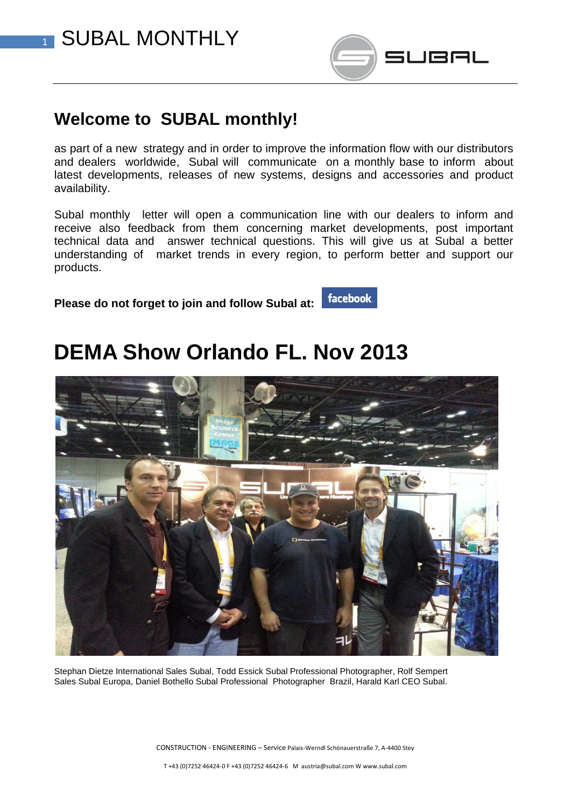



### **Welcome to SUBAL monthly!**

as part of a new strategy and in order to improve the information flow with our distributors and dealers worldwide, Subal will communicate on a monthly base to inform about latest developments, releases of new systems, designs and accessories and product availability.

Subal monthly letter will open a communication line with our dealers to inform and receive also feedback from them concerning market developments, post important technical data and answer technical questions. This will give us at Subal a better understanding of market trends in every region, to perform better and support our products.

facebook.

**Please do not forget to join and follow Subal at:** 

## **DEMA Show Orlando FL. Nov 2013**



Stephan Dietze International Sales Subal, Todd Essick Subal Professional Photographer, Rolf Sempert Sales Subal Europa, Daniel Bothello Subal Professional Photographer Brazil, Harald Karl CEO Subal.

CONSTRUCTION - ENGINEERING – Service Palais-Werndl Schönauerstraße 7, A-4400 Stey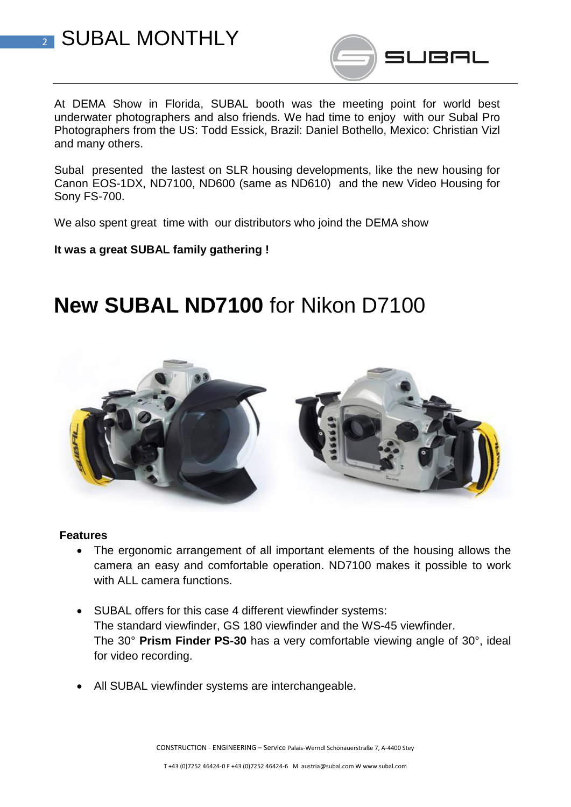



At DEMA Show in Florida, SUBAL booth was the meeting point for world best underwater photographers and also friends. We had time to enjoy with our Subal Pro Photographers from the US: Todd Essick, Brazil: Daniel Bothello, Mexico: Christian Vizl and many others.

Subal presented the lastest on SLR housing developments, like the new housing for Canon EOS-1DX, ND7100, ND600 (same as ND610) and the new Video Housing for Sony FS-700.

We also spent great time with our distributors who joind the DEMA show

#### **It was a great SUBAL family gathering !**

## **New SUBAL ND7100** for Nikon D7100



#### **Features**

- The ergonomic arrangement of all important elements of the housing allows the camera an easy and comfortable operation. ND7100 makes it possible to work with ALL camera functions.
- SUBAL offers for this case 4 different viewfinder systems: The standard viewfinder, GS 180 viewfinder and the WS-45 viewfinder. The 30° **Prism Finder PS-30** has a very comfortable viewing angle of 30°, ideal for video recording.
- All SUBAL viewfinder systems are interchangeable.

CONSTRUCTION - ENGINEERING – Service Palais-Werndl Schönauerstraße 7, A-4400 Stey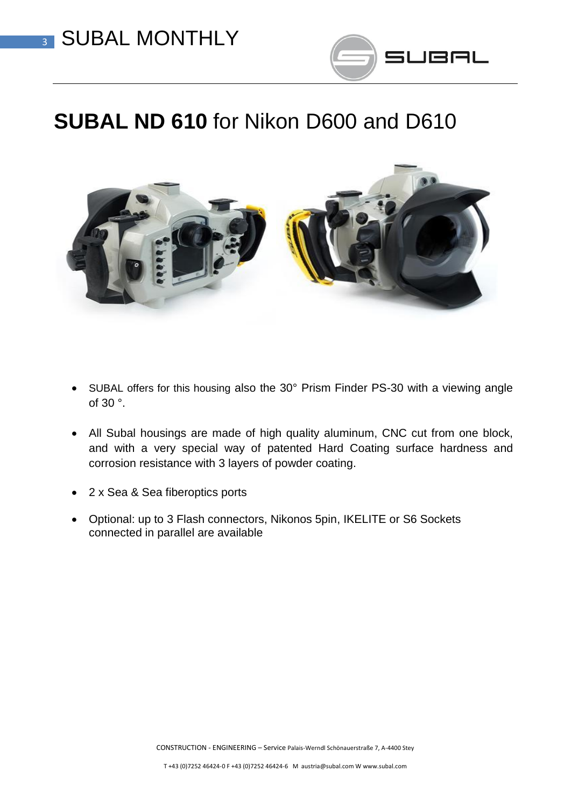

# **SUBAL ND 610** for Nikon D600 and D610



- SUBAL offers for this housing also the 30° Prism Finder PS-30 with a viewing angle of 30 °.
- All Subal housings are made of high quality aluminum, CNC cut from one block, and with a very special way of patented Hard Coating surface hardness and corrosion resistance with 3 layers of powder coating.
- 2 x Sea & Sea fiberoptics ports
- Optional: up to 3 Flash connectors, Nikonos 5pin, IKELITE or S6 Sockets connected in parallel are available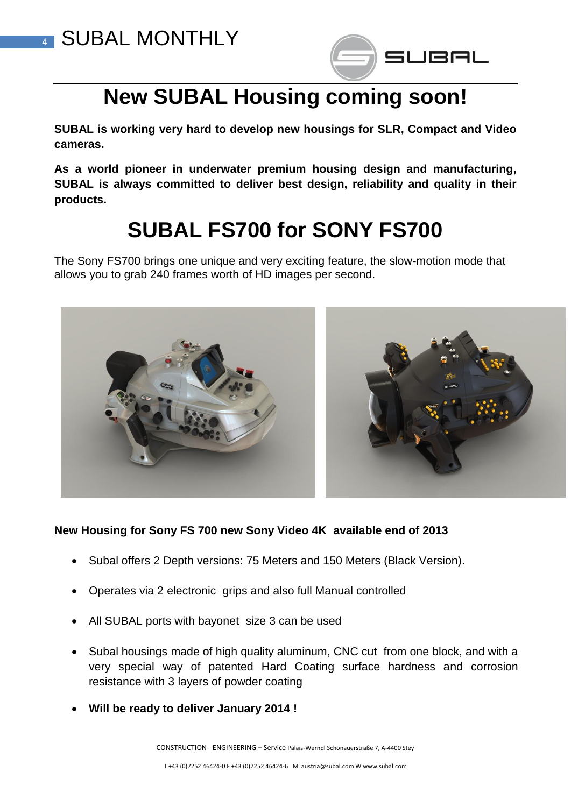



# **New SUBAL Housing coming soon!**

**SUBAL is working very hard to develop new housings for SLR, Compact and Video cameras.** 

**As a world pioneer in underwater premium housing design and manufacturing, SUBAL is always committed to deliver best design, reliability and quality in their products.**

# **SUBAL FS700 for SONY FS700**

The Sony FS700 brings one unique and very exciting feature, the slow-motion mode that allows you to grab 240 frames worth of HD images per second.



#### **New Housing for Sony FS 700 new Sony Video 4K available end of 2013**

- Subal offers 2 Depth versions: 75 Meters and 150 Meters (Black Version).
- Operates via 2 electronic grips and also full Manual controlled
- All SUBAL ports with bayonet size 3 can be used
- Subal housings made of high quality aluminum, CNC cut from one block, and with a very special way of patented Hard Coating surface hardness and corrosion resistance with 3 layers of powder coating
- **Will be ready to deliver January 2014 !**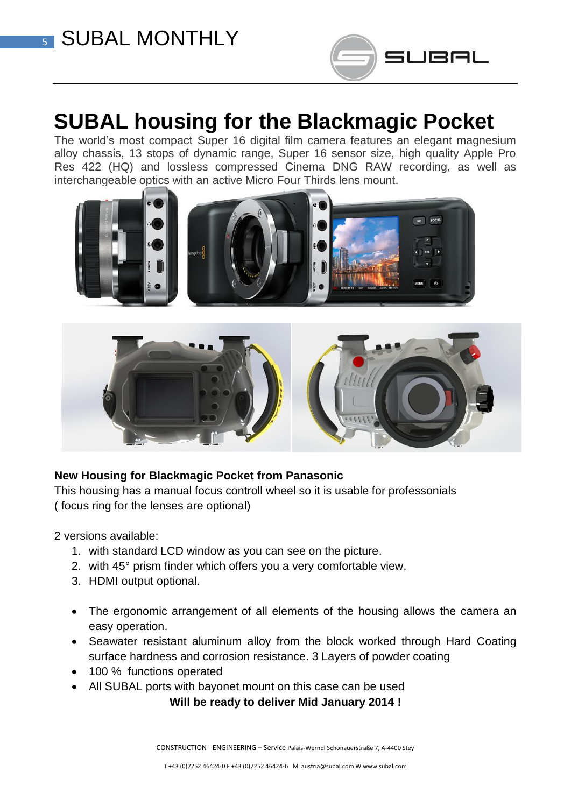

## **SUBAL housing for the Blackmagic Pocket**

The world's most compact Super 16 digital film camera features an elegant magnesium alloy chassis, 13 stops of dynamic range, Super 16 sensor size, high quality Apple Pro Res 422 (HQ) and lossless compressed Cinema DNG RAW recording, as well as interchangeable optics with an active Micro Four Thirds lens mount.





#### **New Housing for Blackmagic Pocket from Panasonic**

This housing has a manual focus controll wheel so it is usable for professonials ( focus ring for the lenses are optional)

2 versions available:

- 1. with standard LCD window as you can see on the picture.
- 2. with 45° prism finder which offers you a very comfortable view.
- 3. HDMI output optional.
- The ergonomic arrangement of all elements of the housing allows the camera an easy operation.
- Seawater resistant aluminum alloy from the block worked through Hard Coating surface hardness and corrosion resistance. 3 Layers of powder coating
- 100 % functions operated
- All SUBAL ports with bayonet mount on this case can be used

**Will be ready to deliver Mid January 2014 !**

CONSTRUCTION - ENGINEERING – Service Palais-Werndl Schönauerstraße 7, A-4400 Stey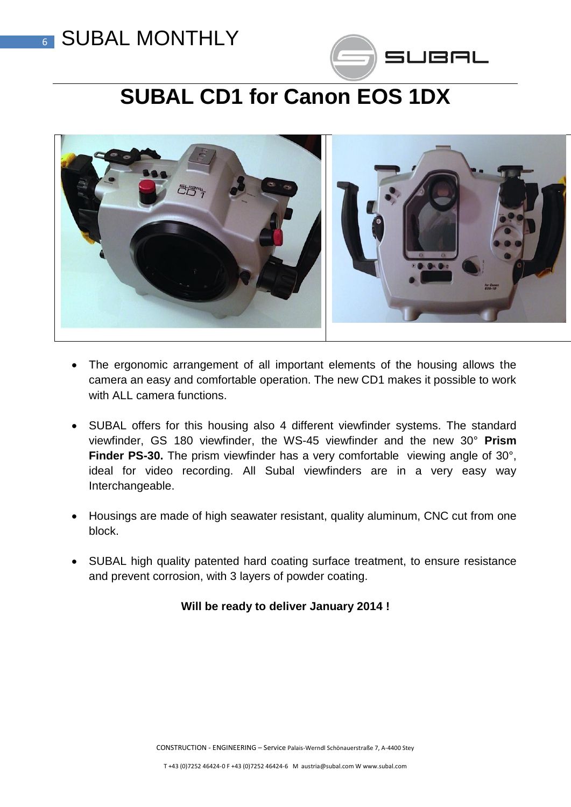### **6 SUBAL MONTHLY**



# **SUBAL CD1 for Canon EOS 1DX**



- The ergonomic arrangement of all important elements of the housing allows the camera an easy and comfortable operation. The new CD1 makes it possible to work with ALL camera functions.
- SUBAL offers for this housing also 4 different viewfinder systems. The standard viewfinder, GS 180 viewfinder, the WS-45 viewfinder and the new 30° **Prism Finder PS-30.** The prism viewfinder has a very comfortable viewing angle of 30°, ideal for video recording. All Subal viewfinders are in a very easy way Interchangeable.
- Housings are made of high seawater resistant, quality aluminum, CNC cut from one block.
- SUBAL high quality patented hard coating surface treatment, to ensure resistance and prevent corrosion, with 3 layers of powder coating.

#### **Will be ready to deliver January 2014 !**